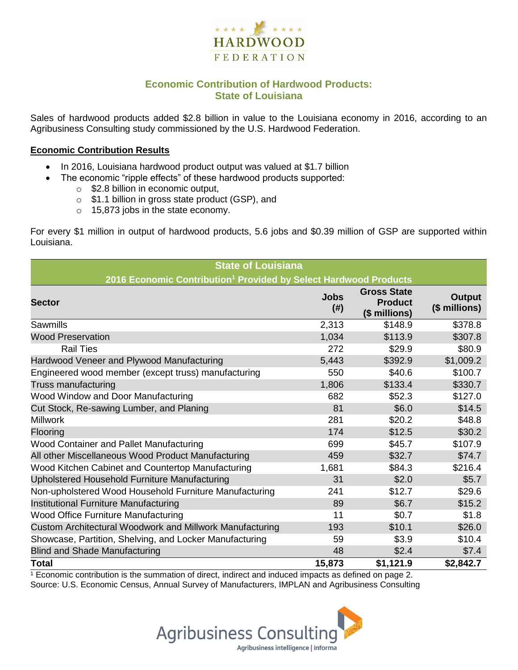

## **Economic Contribution of Hardwood Products: State of Louisiana**

Sales of hardwood products added \$2.8 billion in value to the Louisiana economy in 2016, according to an Agribusiness Consulting study commissioned by the U.S. Hardwood Federation.

#### **Economic Contribution Results**

- In 2016, Louisiana hardwood product output was valued at \$1.7 billion
	- The economic "ripple effects" of these hardwood products supported:
		- o \$2.8 billion in economic output,
		- o \$1.1 billion in gross state product (GSP), and
		- o 15,873 jobs in the state economy.

For every \$1 million in output of hardwood products, 5.6 jobs and \$0.39 million of GSP are supported within Louisiana.

| <b>State of Louisiana</b>                                                    |                     |                                                       |                         |  |  |  |
|------------------------------------------------------------------------------|---------------------|-------------------------------------------------------|-------------------------|--|--|--|
| 2016 Economic Contribution <sup>1</sup> Provided by Select Hardwood Products |                     |                                                       |                         |  |  |  |
| <b>Sector</b>                                                                | <b>Jobs</b><br>(# ) | <b>Gross State</b><br><b>Product</b><br>(\$ millions) | Output<br>(\$ millions) |  |  |  |
| Sawmills                                                                     | 2,313               | \$148.9                                               | \$378.8                 |  |  |  |
| <b>Wood Preservation</b>                                                     | 1,034               | \$113.9                                               | \$307.8                 |  |  |  |
| <b>Rail Ties</b>                                                             | 272                 | \$29.9                                                | \$80.9                  |  |  |  |
| Hardwood Veneer and Plywood Manufacturing                                    | 5,443               | \$392.9                                               | \$1,009.2               |  |  |  |
| Engineered wood member (except truss) manufacturing                          | 550                 | \$40.6                                                | \$100.7                 |  |  |  |
| Truss manufacturing                                                          | 1,806               | \$133.4                                               | \$330.7                 |  |  |  |
| Wood Window and Door Manufacturing                                           | 682                 | \$52.3                                                | \$127.0                 |  |  |  |
| Cut Stock, Re-sawing Lumber, and Planing                                     | 81                  | \$6.0                                                 | \$14.5                  |  |  |  |
| <b>Millwork</b>                                                              | 281                 | \$20.2                                                | \$48.8                  |  |  |  |
| Flooring                                                                     | 174                 | \$12.5                                                | \$30.2                  |  |  |  |
| Wood Container and Pallet Manufacturing                                      | 699                 | \$45.7                                                | \$107.9                 |  |  |  |
| All other Miscellaneous Wood Product Manufacturing                           | 459                 | \$32.7                                                | \$74.7                  |  |  |  |
| Wood Kitchen Cabinet and Countertop Manufacturing                            | 1,681               | \$84.3                                                | \$216.4                 |  |  |  |
| Upholstered Household Furniture Manufacturing                                | 31                  | \$2.0                                                 | \$5.7                   |  |  |  |
| Non-upholstered Wood Household Furniture Manufacturing                       | 241                 | \$12.7                                                | \$29.6                  |  |  |  |
| Institutional Furniture Manufacturing                                        | 89                  | \$6.7                                                 | \$15.2                  |  |  |  |
| Wood Office Furniture Manufacturing                                          | 11                  | \$0.7                                                 | \$1.8                   |  |  |  |
| Custom Architectural Woodwork and Millwork Manufacturing                     | 193                 | \$10.1                                                | \$26.0                  |  |  |  |
| Showcase, Partition, Shelving, and Locker Manufacturing                      | 59                  | \$3.9                                                 | \$10.4                  |  |  |  |
| <b>Blind and Shade Manufacturing</b>                                         | 48                  | \$2.4                                                 | \$7.4                   |  |  |  |
| <b>Total</b>                                                                 | 15,873              | \$1,121.9                                             | \$2,842.7               |  |  |  |

 $1$  Economic contribution is the summation of direct, indirect and induced impacts as defined on page 2. Source: U.S. Economic Census, Annual Survey of Manufacturers, IMPLAN and Agribusiness Consulting